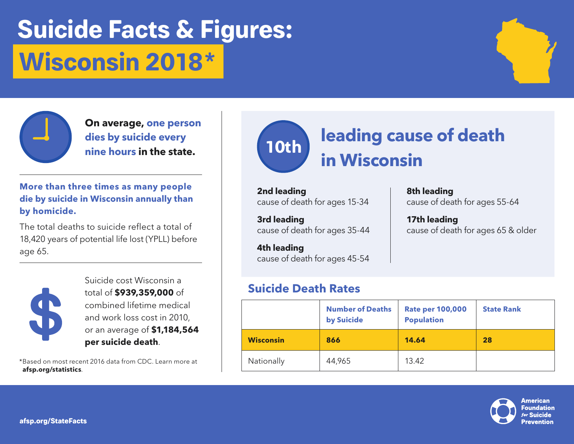# **Suicide Facts & Figures: Wisconsin 2018 \***



**On average, one person dies by suicide every nine hours in the state.**

**More than three times as many people die by suicide in Wisconsin annually than by homicide.**

The total deaths to suicide reflect a total of 18,420 years of potential life lost (YPLL) before age 65.



Suicide cost Wisconsin a total of **\$939,359,000** of combined lifetime medical and work loss cost in 2010, or an average of **\$1,184,564 per suicide death**.

\*Based on most recent 2016 data from CDC. Learn more at **afsp.org/statistics**.



**8th leading**

**17th leading**

cause of death for ages 55-64

cause of death for ages 65 & older

**2nd leading** cause of death for ages 15-34

**3rd leading** cause of death for ages 35-44

**4th leading** cause of death for ages 45-54

### **Suicide Death Rates**

|                  | <b>Number of Deaths</b><br>by Suicide | <b>Rate per 100,000</b><br><b>Population</b> | <b>State Rank</b> |
|------------------|---------------------------------------|----------------------------------------------|-------------------|
| <b>Wisconsin</b> | 866                                   | 14.64                                        | 28                |
| Nationally       | 44,965                                | 13.42                                        |                   |